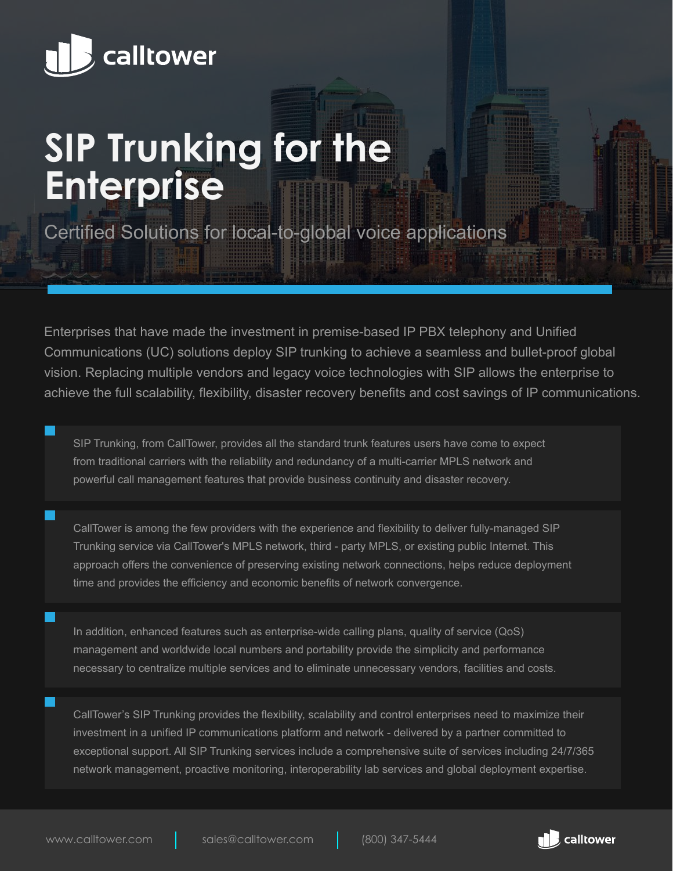

# **SIP Trunking for the Enterprise**

Certified Solutions for local-to-global voice applications

Enterprises that have made the investment in premise-based IP PBX telephony and Unified Communications (UC) solutions deploy SIP trunking to achieve a seamless and bullet-proof global vision. Replacing multiple vendors and legacy voice technologies with SIP allows the enterprise to achieve the full scalability, flexibility, disaster recovery benefits and cost savings of IP communications.

SIP Trunking, from CallTower, provides all the standard trunk features users have come to expect from traditional carriers with the reliability and redundancy of a multi-carrier MPLS network and powerful call management features that provide business continuity and disaster recovery.

CallTower is among the few providers with the experience and flexibility to deliver fully-managed SIP Trunking service via CallTower's MPLS network, third - party MPLS, or existing public Internet. This approach offers the convenience of preserving existing network connections, helps reduce deployment time and provides the efficiency and economic benefits of network convergence.

In addition, enhanced features such as enterprise-wide calling plans, quality of service (QoS) management and worldwide local numbers and portability provide the simplicity and performance necessary to centralize multiple services and to eliminate unnecessary vendors, facilities and costs.

CallTower's SIP Trunking provides the flexibility, scalability and control enterprises need to maximize their investment in a unified IP communications platform and network - delivered by a partner committed to exceptional support. All SIP Trunking services include a comprehensive suite of services including 24/7/365 network management, proactive monitoring, interoperability lab services and global deployment expertise.

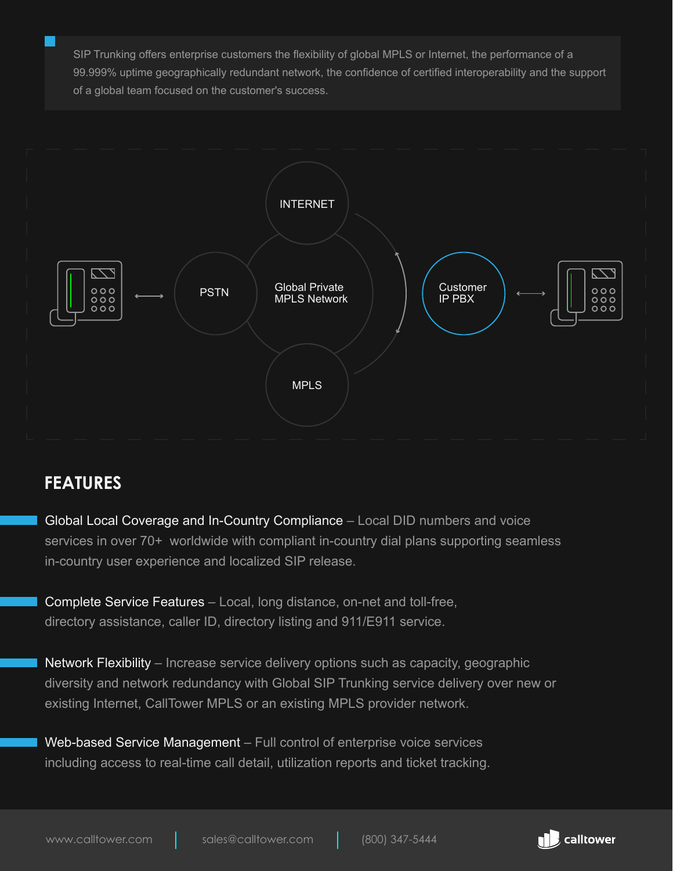SIP Trunking offers enterprise customers the flexibility of global MPLS or Internet, the performance of a 99.999% uptime geographically redundant network, the confidence of certified interoperability and the support of a global team focused on the customer's success.



#### **FEATURES**

Global Local Coverage and In-Country Compliance – Local DID numbers and voice services in over 70+ worldwide with compliant in-country dial plans supporting seamless in-country user experience and localized SIP release.

Complete Service Features – Local, long distance, on-net and toll-free, directory assistance, caller ID, directory listing and 911/E911 service.

Network Flexibility – Increase service delivery options such as capacity, geographic diversity and network redundancy with Global SIP Trunking service delivery over new or existing Internet, CallTower MPLS or an existing MPLS provider network.

Web-based Service Management – Full control of enterprise voice services including access to real-time call detail, utilization reports and ticket tracking.